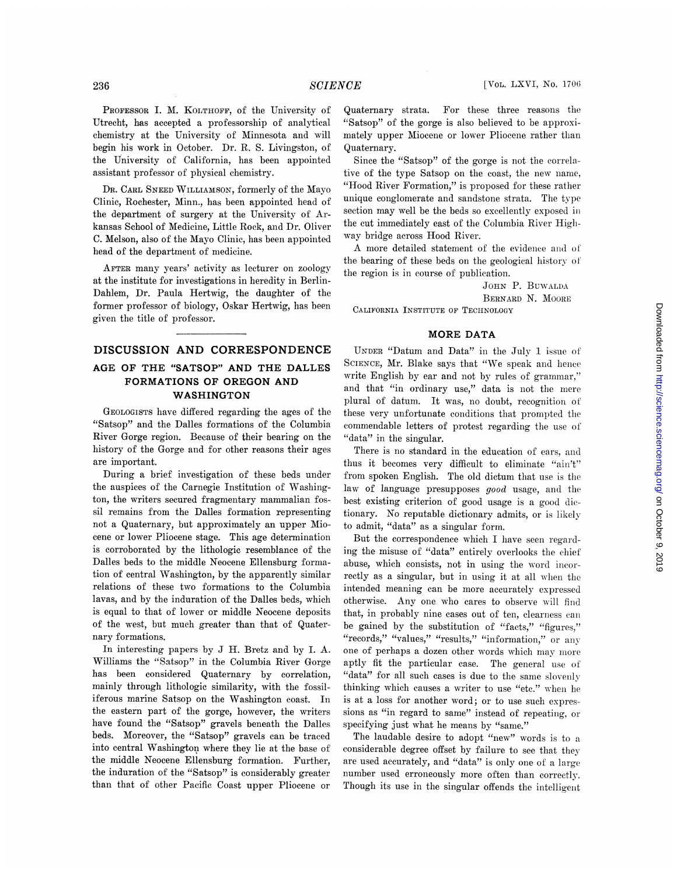PROFESSOR I. M. KOLTHOFF, of the University of Utrecht, has accepted a professorship of analytical chemistry at the University of Minnesota and will begin his work in October. Dr. R. S. Livingston, of the University of California, has been appointed assistant professor of physical chemistry.

DR. CARL SNEED WILLIAMSON, formerly of the Mayo Clinic, Rochester, Minn., has been appointed head of the department of surgery at the University of Arkansas School of Medicine, Little Rock, and Dr. Oliver C. Melson, also of the Mayo Clinic, has been appointed head of the department of medicine.

AFTER many years' activity as lecturer on zoology at the institute for investigations in heredity in Berlin-Dahlem, Dr. Paula Hertwig, the daughter of the former professor of biology, Oskar Hertwig, bas been given the title of professor.

## DISCUSSION AND CORRESPONDENCE AGE OF THE "SATSOP" AND THE DALLES FORMATIONS OF OREGON AND WASHINGTON

GEOLOGISTS have differed regarding the ages of the "Satsop" and the Dalles formations of the Columbia River Gorge region. Because of their bearing on the history of the Gorge and for other reasons their ages are important.

During a brief investigation of these beds under the auspices of the Carnegie Institution of Washington, the writers secured fragmentary mammalian fossil remains from the Dalles formation representing not a Quaternary, but approximately an upper Miocene or lower Pliocene stage. This age determination is corroborated by the lithologic resemblance of the Dalles beds to the middle Neocene Ellensburg formation of central Washington, by the apparently similar relations of these two formations to the Columbia lavas, and by the induration of the Dalles beds, which is equal to that of lower or middle Neocene deposits of the west, but much greater than that of Quaternary formations.

In interesting papers by J H. Bretz and by I. A. Williams the "Satsop" in the Columbia River Gorge has been considered Quaternary by correlation, mainly through lithologic similarity, with the fossiliferous marine Satsop on the Washington coast. In the eastern part of the gorge, however, the writers have found the "Satsop" gravels beneath the Dalles beds. Moreover, the "Satsop" gravels can be traced into central Washington where they lie at the base of the middle Neocene Ellensburg formation. Further, the induration of the "Satsop" is considerably greater than that of other Pacific Coast upper Pliocene or

Quaternary strata. For these three reasons the "Satsop" of the gorge is also believed to be approximately upper Miocene or lower Pliocene rather thar Quaternary.

Since the "Satsop" of the gorge is not the correlative of the type Satsop on the coast, the new name, "Hood River Formation," is proposed for these rather unique conglomerate and sandstone strata. The type section may well be the beds so excellently exposed in the cut immediately cast of the Columbia River Higlway bridge across Hood River.

A more detailed statement of the evidence and of the bearing of these beds on the geological history of the region is in course of publication.

JOHN P. BUWALDA BERNARD N. MOORE CALIFORNIA INSTITUTE OF TECHNOLOGY

## MORE DATA

UNDER "Datum and Data" in the July 1 issue of SCIENCE, Mr. Blake says that "We speak and hence write English by ear and not by rules of grammar," and that "in ordinary use," data is not the mere plural of datum. It was, no doubt, recognition of these very unfortunate conditions that prompted the commendable letters of protest regarding the use of "data" in the singular.

There is no standard in the education of ears, and thus it becomes very difficult to eliminate "ain't" from spoken English. The old dictum that use is the law of language presupposes good usage, and the best existing criterion of good usage is a good dic tionary. No reputable dictionary admits, or is likely to admit, "data" as a singular form.

But the correspondence which <sup>I</sup> have seen regarding the misuse of "data" entirely overlooks the ehief abuse, which consists, not in using the word incorreetly as a singular, but in using it at all when the intended meaning can be more accurately expressed otherwise. Any one who cares to observe will find that, in probably nine cases out of ten, clearness can be gained by the substitution of "facts," "figures," "records," "values," "results," "information," or any one of perhaps a dozen other words which may more aptly fit the particular case. The general use of "data" for all such cases is due to the same slovenly thinking which causes a writer to use 'ete." when he is at a loss for another word; or to use such expressions as "in regard to same" instead of repeating. or specifying just what he means by "same."

The laudable desire to adopt "new" words is to a considerable degree offset by failure to see that thev are used accurately, and "data" is only one of a large number used erroneously more often than correctly. Though its use in the singular offends the intelligent